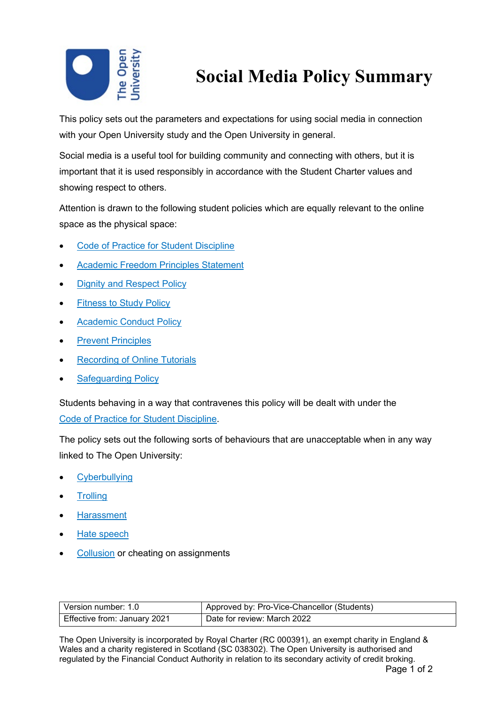

## **Social Media Policy Summary**

This policy sets out the parameters and expectations for using social media in connection with your Open University study and the Open University in general.

Social media is a useful tool for building community and connecting with others, but it is important that it is used responsibly in accordance with the Student Charter values and showing respect to others.

Attention is drawn to the following student policies which are equally relevant to the online space as the physical space:

- [Code of Practice for Student Discipline](https://help.open.ac.uk/documents/policies/code-of-practice-student-discipline)
- [Academic Freedom Principles Statement](https://help.open.ac.uk/documents/policies/academic-freedom-principles-statement)
- **[Dignity and Respect Policy](https://help.open.ac.uk/documents/policies/dignity-and-respect)**
- [Fitness to Study Policy](https://help.open.ac.uk/documents/policies/fitness-to-study)
- [Academic Conduct](https://help.open.ac.uk/documents/policies/plagiarism) Policy
- **[Prevent Principles](https://help.open.ac.uk/documents/policies/prevent-principles)**
- **[Recording of Online Tutorials](https://help.open.ac.uk/documents/policies/recording-online-tutorials)**
- **[Safeguarding](https://help.open.ac.uk/documents/policies/ensuring-the-safety-of-children-and-vulnerable-protected-adults) Policy**

Students behaving in a way that contravenes this policy will be dealt with under the [Code of Practice for Student Discipline.](https://help.open.ac.uk/documents/policies/code-of-practice-student-discipline)

The policy sets out the following sorts of behaviours that are unacceptable when in any way linked to The Open University:

- Cyberbullying
- **Trolling**
- Harassment
- Hate speech
- Collusion or cheating on assignments

| Version number: 1.0          | Approved by: Pro-Vice-Chancellor (Students) |
|------------------------------|---------------------------------------------|
| Effective from: January 2021 | Date for review: March 2022                 |

The Open University is incorporated by Royal Charter (RC 000391), an exempt charity in England & Wales and a charity registered in Scotland (SC 038302). The Open University is authorised and regulated by the Financial Conduct Authority in relation to its secondary activity of credit broking.